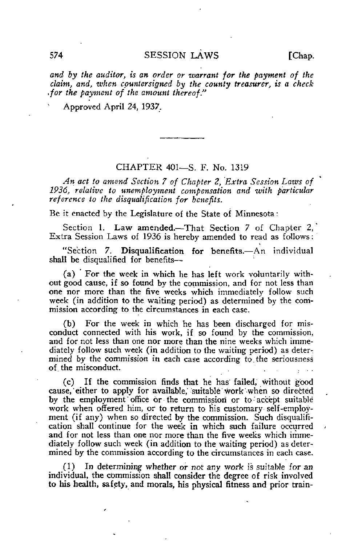and by the auditor, is an order or warrant for the payment of the claim, and, when countersigned by the county treasurer, is a check for the payment of the amount thereof."

Approved April 24, 1937.

## CHAPTER 401—S. F. No. 1319

An act to amend Section 7 of Chapter 2, Extra Session Laws of 1936, relative to unemployment compensation and with particular reference to the disqualification for benefits.

Be it enacted by the Legislature of the State of Minnesota:

Section 1. Law amended.—That Section 7 of Chapter 2, Extra Session Laws of 1936 is hereby amended to read as follows:

"Section 7. Disqualification for benefits.—An individual shall be disqualified for benefits—

(a) For the week in which he has left work voluntarily without good cause, if so found by the commission, and for not less than one nor more than the five weeks which immediately follow such week (in addition to the waiting period) as determined by the commission according to the circumstances in each case.

(b) For the week in which he has been discharged for misconduct connected with his work, if so found by the commission, and for not less than one nor more than the nine weeks which immediately follow such week (in addition to the waiting period) as deter-: mined by the commission in each case according to the seriousness of the misconduct.

(c) If the commission finds that he has failed, without good cause, either to apply for available, suitable work when so directed by the employment office or the commission or to accept suitable work when offered him, or to return to his customary self-employment (if any) when so directed by the commission. Such disqualification shall continue for the week in which such failure occurred and for not less than one nor more than the five weeks which immediately follow such week (in addition to the waiting period) as determined by the commission according to the circumstances in each case.

(1) In determining whether or not any work is suitable for an individual, the commission shall consider the degree of risk involved to his health, safety, and morals, his physical fitness and prior train-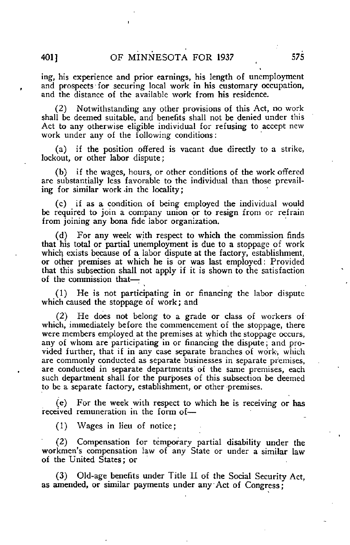ing, his experience and prior earnings, his length of unemployment and prospects for securing local work in his customary occupation, and the distance of the available work from his residence.

(2) Notwithstanding any other provisions of this Act, no work shall be deemed suitable, and benefits shall not be denied under this Act to any otherwise eligible individual for refusing to accept new work under any of the following conditions:

(a) if the position offered is vacant due directly to a strike, lockout, or other labor dispute;

(b) if the wages, hours, or other conditions of the work offered are substantially less favorable to the individual than those prevailing for similar work-in the locality;

(c) if as a condition of being employed the individual would be required to join a company union or to resign from or refrain from joining any bona fide labor organization.

(d) For any week with respect to which the commission finds that his total or partial unemployment is due to a stoppage of work which exists because of a labor dispute at the factory, establishment, or other premises at which he is or was last employed: Provided that this subsection shall not apply if it is shown to the satisfaction of the commission that—•

(1) He is not participating in or financing the labor dispute which caused the stoppage of work; and

(2) He does not belong to a grade or class of workers of which, immediately before the commencement of the stoppage, there were members employed at the premises at which the stoppage occurs, any of whom are participating in or financing the dispute; and provided further, that if in any case separate branches of work, which are commonly conducted as separate businesses in separate premises, are conducted in separate departments of the same premises, each such department shall for the purposes of this subsection be deemed to be a separate factory, establishment, or other premises.

(e) For the week with respect to which he is receiving or has received remuneration in the form of—

(1) Wages in lieu of notice;

(2) Compensation for temporary partial disability under the workmen's compensation law of any State or under a similar law of the United States; or

(3) Old-age benefits under Title II of the Social Security Act, as amended, or similar payments under any Act of Congress;